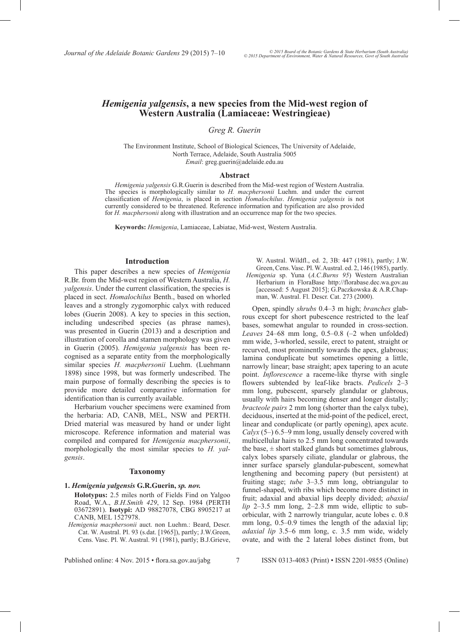# *Hemigenia yalgensis***, a new species from the Mid-west region of Western Australia (Lamiaceae: Westringieae)**

# *Greg R. Guerin*

The Environment Institute, School of Biological Sciences, The University of Adelaide, North Terrace, Adelaide, South Australia 5005 *Email*: greg.guerin@adelaide.edu.au

#### **Abstract**

*Hemigenia yalgensis* G.R.Guerin is described from the Mid-west region of Western Australia. The species is morphologically similar to *H. macphersonii* Luehm. and under the current classification of *Hemigenia*, is placed in section *Homalochilus*. *Hemigenia yalgensis* is not currently considered to be threatened. Reference information and typification are also provided for *H. macphersonii* along with illustration and an occurrence map for the two species.

**Keywords:** *Hemigenia*, Lamiaceae, Labiatae, Mid-west, Western Australia.

### **Introduction**

This paper describes a new species of *Hemigenia* R.Br. from the Mid-west region of Western Australia, *H. yalgensis*. Under the current classification, the species is placed in sect. *Homalochilus* Benth., based on whorled leaves and a strongly zygomorphic calyx with reduced lobes (Guerin 2008). A key to species in this section, including undescribed species (as phrase names), was presented in Guerin (2013) and a description and illustration of corolla and stamen morphology was given in Guerin (2005). *Hemigenia yalgensis* has been recognised as a separate entity from the morphologically similar species *H. macphersonii* Luehm. (Luehmann 1898) since 1998, but was formerly undescribed. The main purpose of formally describing the species is to provide more detailed comparative information for identification than is currently available.

Herbarium voucher specimens were examined from the herbaria: AD, CANB, MEL, NSW and PERTH. Dried material was measured by hand or under light microscope. Reference information and material was compiled and compared for *Hemigenia macphersonii*, morphologically the most similar species to *H. yalgensis*.

#### **Taxonomy**

**1.** *Hemigenia yalgensis* **G.R.Guerin,** *sp. nov.*

**Holotypus:** 2.5 miles north of Fields Find on Yalgoo Road, W.A., *B.H.Smith 429*, 12 Sep. 1984 (PERTH 03672891). **Isotypi:** AD 98827078, CBG 8905217 at CANB, MEL 1527978.

*Hemigenia macphersonii* auct. non Luehm.: Beard, Descr. Cat. W. Austral. Pl. 93 (s.dat. [1965]), partly; J.W.Green, Cens. Vasc. Pl. W. Austral. 91 (1981), partly; B.J.Grieve,

W. Austral. Wildfl., ed. 2, 3B: 447 (1981), partly; J.W. Green, Cens. Vasc. Pl. W. Austral. ed. 2, 146 (1985), partly. *Hemigenia* sp. Yuna (*A.C.Burns 95*) Western Australian Herbarium in FloraBase http://florabase.dec.wa.gov.au [accessed: 5 August 2015]; G.Paczkowska & A.R.Chapman, W. Austral. Fl. Descr. Cat. 273 (2000).

Open, spindly *shrubs* 0.4–3 m high; *branches* glabrous except for short pubescence restricted to the leaf bases, somewhat angular to rounded in cross-section. *Leaves* 24–68 mm long, 0.5–0.8 (–2 when unfolded) mm wide, 3-whorled, sessile, erect to patent, straight or recurved, most prominently towards the apex, glabrous; lamina conduplicate but sometimes opening a little, narrowly linear; base straight; apex tapering to an acute point. *Inflorescence* a raceme-like thyrse with single flowers subtended by leaf-like bracts. *Pedicels* 2–3 mm long, pubescent, sparsely glandular or glabrous, usually with hairs becoming denser and longer distally; *bracteole pairs* 2 mm long (shorter than the calyx tube), deciduous, inserted at the mid-point of the pedicel, erect, linear and conduplicate (or partly opening), apex acute. *Calyx* (5–) 6.5–9 mm long, usually densely covered with multicellular hairs to 2.5 mm long concentrated towards the base,  $\pm$  short stalked glands but sometimes glabrous, calyx lobes sparsely ciliate, glandular or glabrous, the inner surface sparsely glandular-pubescent, somewhat lengthening and becoming papery (but persistent) at fruiting stage; *tube* 3–3.5 mm long, obtriangular to funnel-shaped, with ribs which become more distinct in fruit; adaxial and abaxial lips deeply divided; *abaxial lip* 2–3.5 mm long, 2–2.8 mm wide, elliptic to suborbicular, with 2 narrowly triangular, acute lobes c. 0.8 mm long,  $0.5-0.9$  times the length of the adaxial lip; *adaxial lip* 3.5–6 mm long, c. 3.5 mm wide, widely ovate, and with the 2 lateral lobes distinct from, but

Published online: 4 Nov. 2015 • flora.sa.gov.au/jabg 7 ISSN 0313-4083 (Print) • ISSN 2201-9855 (Online)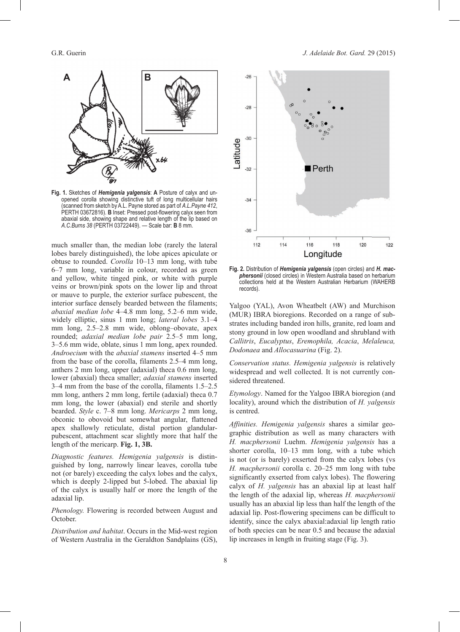

**Fig. 1.** Sketches of *Hemigenia yalgensis*: **A** Posture of calyx and unopened corolla showing distinctive tuft of long multicellular hairs (scanned from sketch by A.L. Payne stored as part of *A.L.Payne 412*, PERTH 03672816). **B** Inset: Pressed post-flowering calyx seen from abaxial side, showing shape and relative length of the lip based on *A.C.Burns 38* (PERTH 03722449). — Scale bar: **B** 8 mm.

much smaller than, the median lobe (rarely the lateral lobes barely distinguished), the lobe apices apiculate or obtuse to rounded. *Corolla* 10–13 mm long, with tube 6–7 mm long, variable in colour, recorded as green and yellow, white tinged pink, or white with purple veins or brown/pink spots on the lower lip and throat or mauve to purple, the exterior surface pubescent, the interior surface densely bearded between the filaments; *abaxial median lobe* 4–4.8 mm long, 5.2–6 mm wide, widely elliptic, sinus 1 mm long; *lateral lobes* 3.1–4 mm long, 2.5–2.8 mm wide, oblong–obovate, apex rounded; *adaxial median lobe pair* 2.5–5 mm long, 3–5.6 mm wide, oblate, sinus 1 mm long, apex rounded. *Androecium* with the *abaxial stamens* inserted 4–5 mm from the base of the corolla, filaments 2.5–4 mm long, anthers 2 mm long, upper (adaxial) theca 0.6 mm long, lower (abaxial) theca smaller; *adaxial stamens* inserted 3–4 mm from the base of the corolla, filaments 1.5–2.5 mm long, anthers 2 mm long, fertile (adaxial) theca 0.7 mm long, the lower (abaxial) end sterile and shortly bearded. *Style* c. 7–8 mm long. *Mericarps* 2 mm long, obconic to obovoid but somewhat angular, flattened apex shallowly reticulate, distal portion glandularpubescent, attachment scar slightly more that half the length of the mericarp. **Fig. 1, 3B.**

*Diagnostic features. Hemigenia yalgensis* is distinguished by long, narrowly linear leaves, corolla tube not (or barely) exceeding the calyx lobes and the calyx, which is deeply 2-lipped but 5-lobed. The abaxial lip of the calyx is usually half or more the length of the adaxial lip.

*Phenology.* Flowering is recorded between August and October.

*Distribution and habitat*. Occurs in the Mid-west region of Western Australia in the Geraldton Sandplains (GS),



**Fig. 2.** Distribution of *Hemigenia yalgensis* (open circles) and *H. macphersonii* (closed circles) in Western Australia based on herbarium collections held at the Western Australian Herbarium (WAHERB records).

Yalgoo (YAL), Avon Wheatbelt (AW) and Murchison (MUR) IBRA bioregions. Recorded on a range of substrates including banded iron hills, granite, red loam and stony ground in low open woodland and shrubland with *Callitris*, *Eucalyptus*, *Eremophila, Acacia*, *Melaleuca, Dodonaea* and *Allocasuarina* (Fig. 2).

*Conservation status. Hemigenia yalgensis* is relatively widespread and well collected. It is not currently considered threatened.

*Etymology*. Named for the Yalgoo IBRA bioregion (and locality), around which the distribution of *H. yalgensis*  is centred.

*Affinities. Hemigenia yalgensis* shares a similar geographic distribution as well as many characters with *H. macphersonii* Luehm. *Hemigenia yalgensis* has a shorter corolla, 10–13 mm long, with a tube which is not (or is barely) exserted from the calyx lobes (vs *H. macphersonii* corolla c. 20–25 mm long with tube significantly exserted from calyx lobes). The flowering calyx of *H. yalgensis* has an abaxial lip at least half the length of the adaxial lip, whereas *H. macphersonii* usually has an abaxial lip less than half the length of the adaxial lip. Post-flowering specimens can be difficult to identify, since the calyx abaxial:adaxial lip length ratio of both species can be near 0.5 and because the adaxial lip increases in length in fruiting stage (Fig. 3).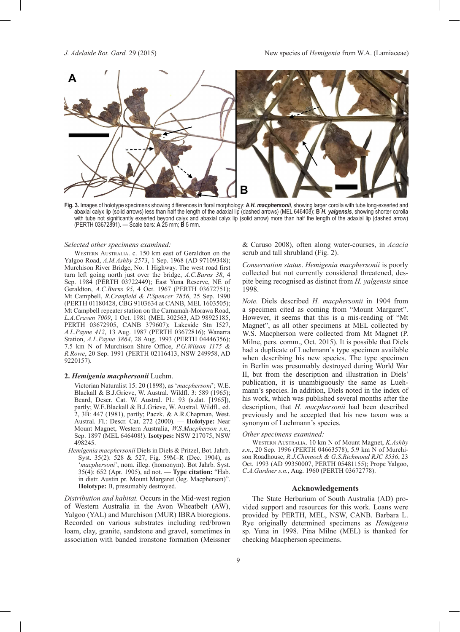

**Fig. 3.** Images of holotype specimens showing differences in floral morphology: **A** *H. macphersonii*, showing larger corolla with tube longexserted and abaxial calyx lip (solid arrows) less than half the length of the adaxial lip (dashed arrows) (MEL 646408); **B** *H. yalgensis*, showing shorter corolla with tube not significantly exserted beyond calyx and abaxial calyx lip (solid arrow) more than half the length of the adaxial lip (dashed arrow) (PERTH 03672891). — Scale bars: **A** 25 mm; **B** 5 mm.

#### *Selected other specimens examined:*

WESTERN AUSTRALIA. c. 150 km east of Geraldton on the Yalgoo Road, *A.M.Ashby 2573*, 1 Sep. 1968 (AD 97109348); Murchison River Bridge, No. 1 Highway. The west road first turn left going north just over the bridge, *A.C.Burns 38*, 4 Sep. 1984 (PERTH 03722449); East Yuna Reserve, NE of Geraldton, *A.C.Burns 95*, 4 Oct. 1967 (PERTH 03672751); Mt Campbell, *R.Cranfield & P.Spencer 7856*, 25 Sep. 1990 (PERTH 01180428, CBG 9103634 at CANB, MEL 1603505); Mt Campbell repeater station on the Carnamah-Morawa Road, *L.A.Craven 7009*, 1 Oct. 1981 (MEL 302563, AD 98925185, PERTH 03672905, CANB 379607); Lakeside Stn I527, *A.L.Payne 412*, 13 Aug. 1987 (PERTH 03672816); Wanarra Station, *A.L.Payne 3864*, 28 Aug. 1993 (PERTH 04446356); 7.5 km N of Murchison Shire Office, *P.G.Wilson 1175 & R.Rowe*, 20 Sep. 1991 (PERTH 02116413, NSW 249958, AD 9220157).

#### **2.** *Hemigenia macphersonii* Luehm.

Victorian Naturalist 15: 20 (1898), as '*macphersoni*'; W.E. Blackall & B.J.Grieve, W. Austral. Wildfl. 3: 589 (1965); Beard, Descr. Cat. W. Austral. Pl.: 93 (s.dat. [1965]), partly; W.E.Blackall & B.J.Grieve, W. Austral. Wildfl., ed. 2, 3B: 447 (1981), partly; Paczk. & A.R.Chapman, West. Austral. Fl.: Descr. Cat. 272 (2000). — **Holotype:** Near Mount Magnet, Western Australia, *W.S.Macpherson s.n.*, Sep. 1897 (MEL 646408!). **Isotypes:** NSW 217075, NSW 498245.

*Hemigenia macphersonii* Diels in Diels & Pritzel, Bot. Jahrb. Syst. 35(2): 528 & 527, Fig. 59M–R (Dec. 1904), as '*macphersoni*', nom. illeg. (homonym). Bot Jahrb. Syst. 35(4): 652 (Apr. 1905), ad not. — **Type cita tion:** "Hab. in distr. Austin pr. Mount Margaret (leg. Macpherson)". **Holotype:** B, presumably destroyed.

*Distribution and habitat.* Occurs in the Mid-west region of Western Australia in the Avon Wheatbelt (AW), Yalgoo (YAL) and Murchison (MUR) IBRA bioregions. Recorded on various substrates including red/brown loam, clay, granite, sandstone and gravel, sometimes in association with banded ironstone formation (Meissner

& Caruso 2008), often along water-courses, in *Acacia*  scrub and tall shrubland (Fig. 2).

*Conservation status*. *Hemigenia macphersonii* is poorly collected but not currently considered threatened, despite being recognised as distinct from *H. yalgensis* since 1998.

*Note.* Diels described *H. macphersonii* in 1904 from a specimen cited as coming from "Mount Margaret". However, it seems that this is a mis-reading of "Mt Magnet", as all other specimens at MEL collected by W.S. Macpherson were collected from Mt Magnet (P. Milne, pers. comm., Oct. 2015). It is possible that Diels had a duplicate of Luehmann's type specimen available when describing his new species. The type specimen in Berlin was presumably destroyed during World War II, but from the description and illustration in Diels' publication, it is unambiguously the same as Luehmann's species. In addition, Diels noted in the index of his work, which was published several months after the description, that *H. macphersonii* had been described previously and he accepted that his new taxon was a synonym of Luehmann's species.

#### *Other specimens examined:*

Western AustrAliA. 10 km N of Mount Magnet, *K.Ashby s.n.*, 20 Sep. 1996 (PERTH 04663578); 5.9 km N of Murchison Roadhouse, *R.J.Chinnock & G.S.Richmond RJC 8536*, 23 Oct. 1993 (AD 99350007, PERTH 05481155); Prope Yalgoo, *C.A.Gardner s.n.*, Aug. 1960 (PERTH 03672778).

## **Acknowledgements**

The State Herbarium of South Australia (AD) provided support and resources for this work. Loans were provided by PERTH, MEL, NSW, CANB. Barbara L. Rye originally determined specimens as *Hemigenia*  sp. Yuna in 1998. Pina Milne (MEL) is thanked for checking Macpherson specimens.